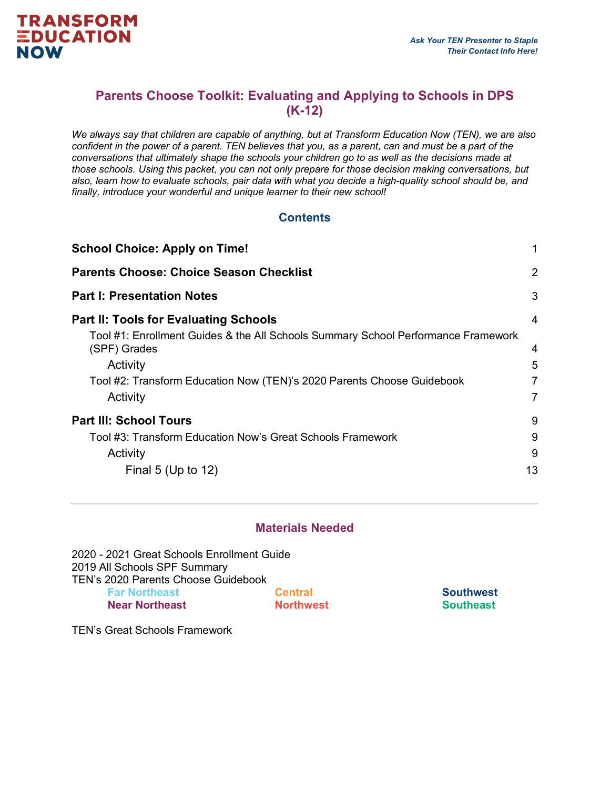### **Parents Choose Toolkit: Evaluating and Applying to Schools in DPS (K-12)**

*We always say that children are capable of anything, but at Transform Education Now (TEN), we are also confident in the power of a parent. TEN believes that you, as a parent, can and must be a part of the conversations that ultimately shape the schools your children go to as well as the decisions made at those schools. Using this packet, you can not only prepare for those decision making conversations, but also, learn how to evaluate schools, pair data with what you decide a high-quality school should be, and finally, introduce your wonderful and unique learner to their new school!*

#### **Contents**

| <b>School Choice: Apply on Time!</b>                                                                                                                                                                | 1                |
|-----------------------------------------------------------------------------------------------------------------------------------------------------------------------------------------------------|------------------|
| <b>Parents Choose: Choice Season Checklist</b>                                                                                                                                                      | $\overline{2}$   |
| <b>Part I: Presentation Notes</b>                                                                                                                                                                   | 3                |
| <b>Part II: Tools for Evaluating Schools</b>                                                                                                                                                        | $\overline{4}$   |
| Tool #1: Enrollment Guides & the All Schools Summary School Performance Framework<br>(SPF) Grades<br>Activity<br>Tool #2: Transform Education Now (TEN)'s 2020 Parents Choose Guidebook<br>Activity | 4<br>5<br>7<br>7 |
| <b>Part III: School Tours</b>                                                                                                                                                                       | 9                |
| Tool #3: Transform Education Now's Great Schools Framework                                                                                                                                          | 9                |
| Activity                                                                                                                                                                                            | 9                |
| Final 5 (Up to $12$ )                                                                                                                                                                               | 13               |
|                                                                                                                                                                                                     |                  |

#### **Materials Needed**

2020 - 2021 Great Schools Enrollment Guide 2019 All Schools SPF Summary TEN's 2020 Parents Choose Guidebook **Far Northeast Near Northeast Central**

**Northwest**

**Southwest Southeast**

TEN's Great Schools Framework

**TRANSFORM EDUCATION** 

**NOW**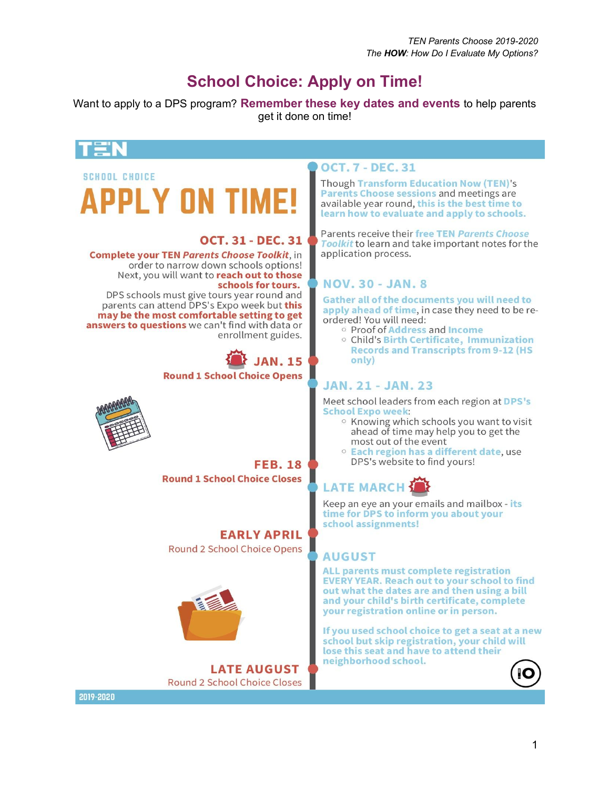## **School Choice: Apply on Time!**

Want to apply to a DPS program? **Remember these key dates and events** to help parents get it done on time!

#### **OCT. 7 - DEC. 31 SCHOOL CHOICE Though Transform Education Now (TEN)'s PPLY ON TIM** Parents Choose sessions and meetings are available year round, this is the best time to learn how to evaluate and apply to schools. Parents receive their free TEN Parents Choose **OCT. 31 - DEC. 31** Toolkit to learn and take important notes for the application process. **Complete your TEN Parents Choose Toolkit, in** order to narrow down schools options! Next, you will want to reach out to those schools for tours. **NOV. 30 - JAN. 8** DPS schools must give tours year round and Gather all of the documents you will need to parents can attend DPS's Expo week but this apply ahead of time, in case they need to be remay be the most comfortable setting to get ordered! You will need: answers to questions we can't find with data or o Proof of Address and Income enrollment guides. ○ Child's Birth Certificate, Immunization **Records and Transcripts from 9-12 (HS JAN. 15** only) **Round 1 School Choice Opens JAN. 21 - JAN. 23** Meet school leaders from each region at DPS's **School Expo week:** ○ Knowing which schools you want to visit ahead of time may help you to get the most out of the event <sup>o</sup> Each region has a different date, use DPS's website to find yours! **FEB. 18 Round 1 School Choice Closes LATE MARCH** Keep an eye an your emails and mailbox - its time for DPS to inform you about your school assignments! **EARLY APRIL** Round 2 School Choice Opens **AUGUST** ALL parents must complete registration **EVERY YEAR. Reach out to your school to find** out what the dates are and then using a bill and your child's birth certificate, complete your registration online or in person. If you used school choice to get a seat at a new school but skip registration, your child will lose this seat and have to attend their neighborhood school. **LATE AUGUST Round 2 School Choice Closes** 2019-2020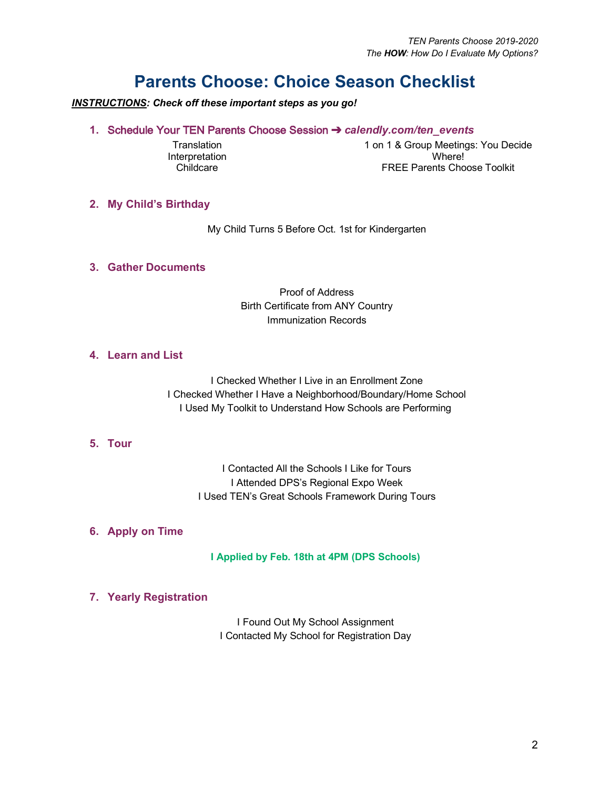## **Parents Choose: Choice Season Checklist**

*INSTRUCTIONS: Check off these important steps as you go!*

**1.** Schedule Your TEN Parents Choose Session ➔ *calendly.com/ten\_events* 

**Translation Interpretation Childcare** 

1 on 1 & Group Meetings: You Decide Where! FREE Parents Choose Toolkit

#### **2. My Child's Birthday**

My Child Turns 5 Before Oct. 1st for Kindergarten

#### **3. Gather Documents**

Proof of Address Birth Certificate from ANY Country Immunization Records

#### **4. Learn and List**

I Checked Whether I Live in an Enrollment Zone I Checked Whether I Have a Neighborhood/Boundary/Home School I Used My Toolkit to Understand How Schools are Performing

#### **5. Tour**

I Contacted All the Schools I Like for Tours I Attended DPS's Regional Expo Week I Used TEN's Great Schools Framework During Tours

#### **6. Apply on Time**

**I Applied by Feb. 18th at 4PM (DPS Schools)**

#### **7. Yearly Registration**

I Found Out My School Assignment I Contacted My School for Registration Day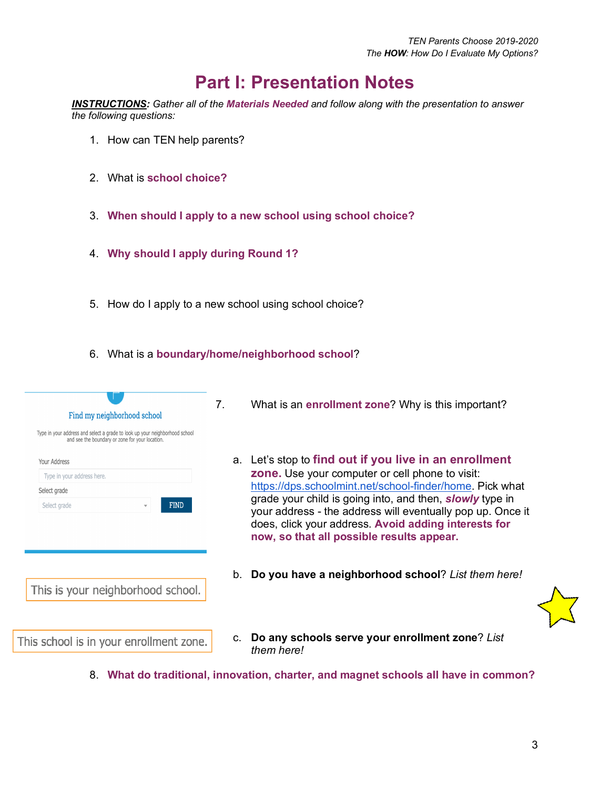## **Part I: Presentation Notes**

*INSTRUCTIONS: Gather all of the Materials Needed and follow along with the presentation to answer the following questions:* 

- 1. How can TEN help parents?
- 2. What is **school choice?**
- 3. **When should I apply to a new school using school choice?**
- 4. **Why should I apply during Round 1?**
- 5. How do I apply to a new school using school choice?
- 6. What is a **boundary/home/neighborhood school**?

| Type in your address and select a grade to look up your neighborhood school<br>and see the boundary or zone for your location. |
|--------------------------------------------------------------------------------------------------------------------------------|
| Your Address                                                                                                                   |
| Type in your address here.                                                                                                     |
| Select grade                                                                                                                   |
| <b>FIND</b><br>Select grade                                                                                                    |
| This is your neighborhood school.                                                                                              |
|                                                                                                                                |
|                                                                                                                                |

- 7. What is an **enrollment zone**? Why is this important?
	- a. Let's stop to **find out if you live in an enrollment zone.** Use your computer or cell phone to visit: https://dps.schoolmint.net/school-finder/home. Pick what grade your child is going into, and then, *slowly* type in your address - the address will eventually pop up. Once it does, click your address. **Avoid adding interests for now, so that all possible results appear.**
	- b. **Do you have a neighborhood school**? *List them here!*



- c. **Do any schools serve your enrollment zone**? *List them here!*
- 8. **What do traditional, innovation, charter, and magnet schools all have in common?**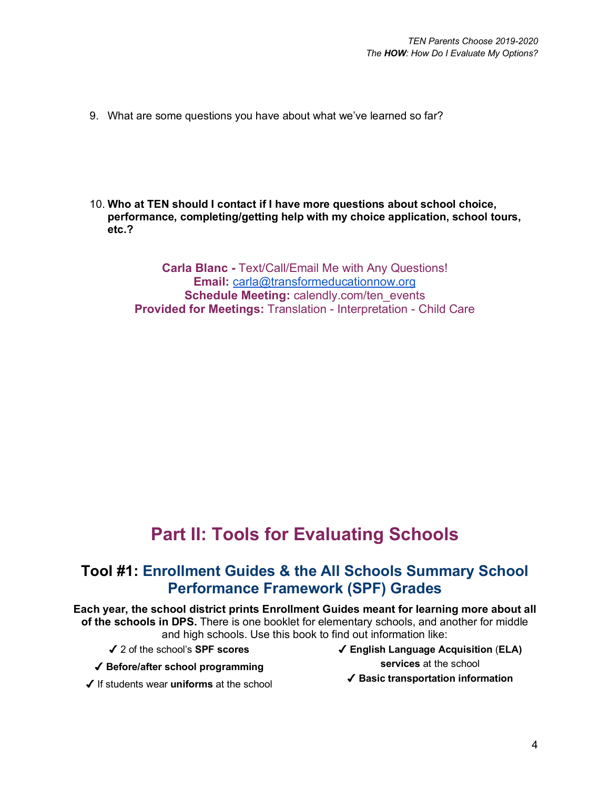- 9. What are some questions you have about what we've learned so far?
- 10. **Who at TEN should I contact if I have more questions about school choice, performance, completing/getting help with my choice application, school tours, etc.?**

**Carla Blanc -** Text/Call/Email Me with Any Questions! **Email:** carla@transformeducationnow.org **Schedule Meeting: calendly.com/ten\_events Provided for Meetings:** Translation - Interpretation - Child Care

## **Part II: Tools for Evaluating Schools**

## **Tool #1: Enrollment Guides & the All Schools Summary School Performance Framework (SPF) Grades**

**Each year, the school district prints Enrollment Guides meant for learning more about all of the schools in DPS.** There is one booklet for elementary schools, and another for middle and high schools. Use this book to find out information like:

✔ 2 of the school's **SPF scores** 

- ✔ **Before/after school programming**
- ✔ If students wear **uniforms** at the school
- ✔ **English Language Acquisition** (**ELA) services** at the school
	- ✔ **Basic transportation information**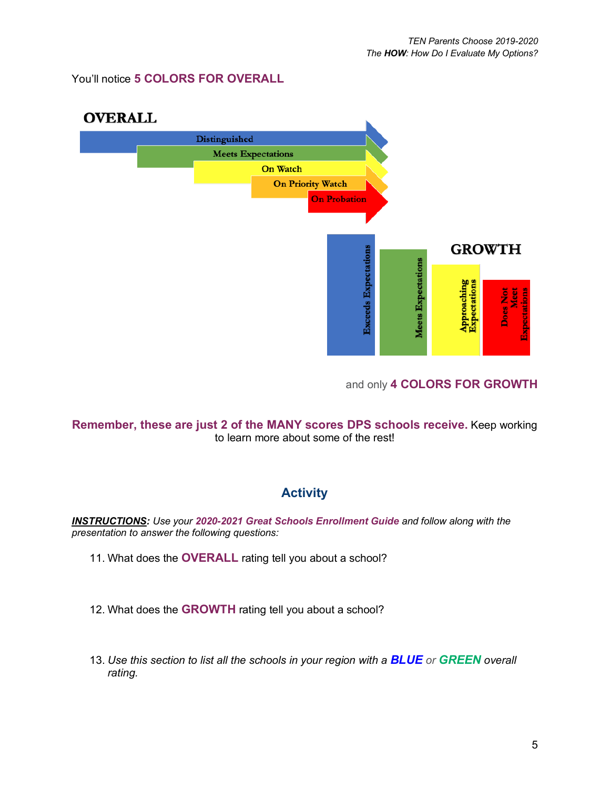You'll notice **5 COLORS FOR OVERALL**



#### and only **4 COLORS FOR GROWTH**

**Remember, these are just 2 of the MANY scores DPS schools receive.** Keep working to learn more about some of the rest!

#### **Activity**

*INSTRUCTIONS: Use your 2020-2021 Great Schools Enrollment Guide and follow along with the presentation to answer the following questions:* 

- 11. What does the **OVERALL** rating tell you about a school?
- 12. What does the **GROWTH** rating tell you about a school?
- 13. *Use this section to list all the schools in your region with a BLUE or GREEN overall rating.*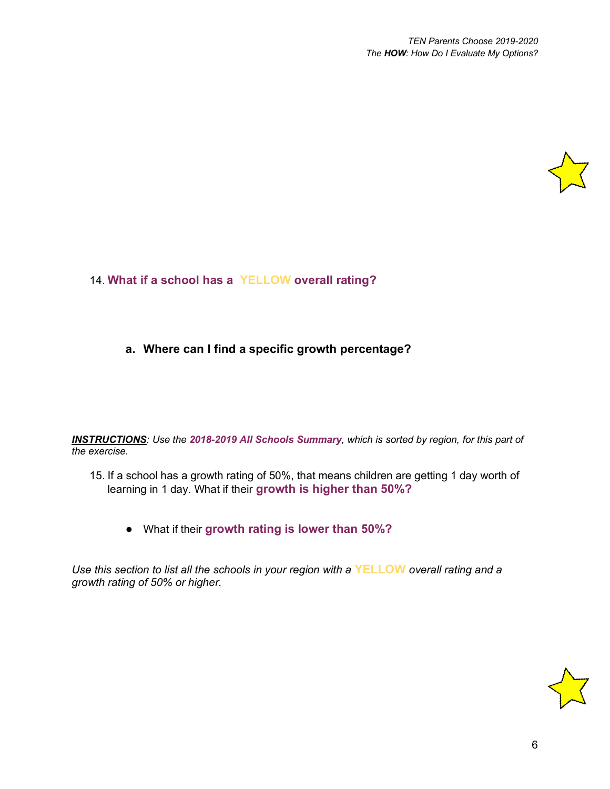

14. **What if a school has a YELLOW overall rating?**

#### **a. Where can I find a specific growth percentage?**

*INSTRUCTIONS: Use the 2018-2019 All Schools Summary, which is sorted by region, for this part of the exercise.*

- 15. If a school has a growth rating of 50%, that means children are getting 1 day worth of learning in 1 day. What if their **growth is higher than 50%?**
	- What if their **growth rating is lower than 50%?**

*Use this section to list all the schools in your region with a* **YELLOW** *overall rating and a growth rating of 50% or higher.*

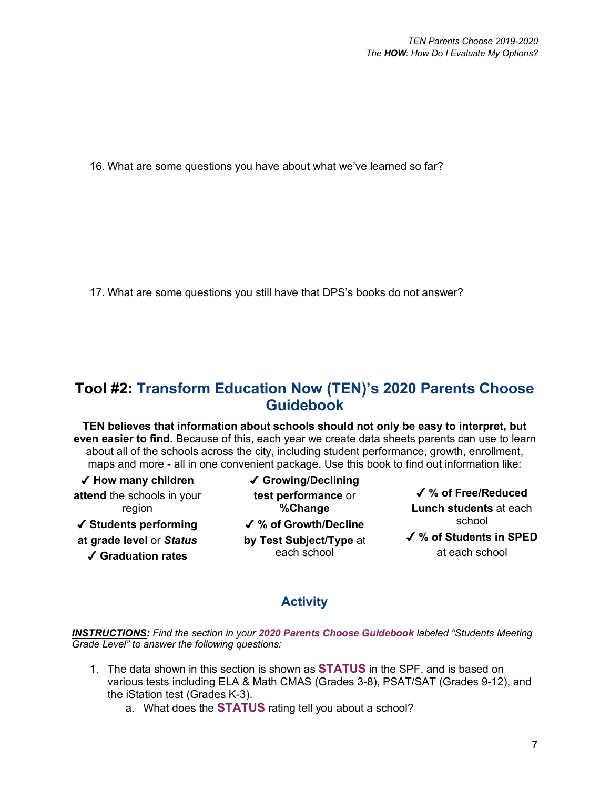16. What are some questions you have about what we've learned so far?

17. What are some questions you still have that DPS's books do not answer?

## **Tool #2: Transform Education Now (TEN)'s 2020 Parents Choose Guidebook**

**TEN believes that information about schools should not only be easy to interpret, but even easier to find.** Because of this, each year we create data sheets parents can use to learn about all of the schools across the city, including student performance, growth, enrollment, maps and more - all in one convenient package. Use this book to find out information like:

✔ **How many children attend** the schools in your region ✔ **Students performing at grade level** or *Status* ✔ **Graduation rates**

✔ **Growing/Declining test performance** or **%Change** ✔ **% of Growth/Decline by Test Subject/Type** at each school

✔ **% of Free/Reduced Lunch students** at each school ✔ **% of Students in SPED** at each school

## **Activity**

*INSTRUCTIONS: Find the section in your 2020 Parents Choose Guidebook labeled "Students Meeting Grade Level" to answer the following questions:* 

- 1. The data shown in this section is shown as **STATUS** in the SPF, and is based on various tests including ELA & Math CMAS (Grades 3-8), PSAT/SAT (Grades 9-12), and the iStation test (Grades K-3).
	- a. What does the **STATUS** rating tell you about a school?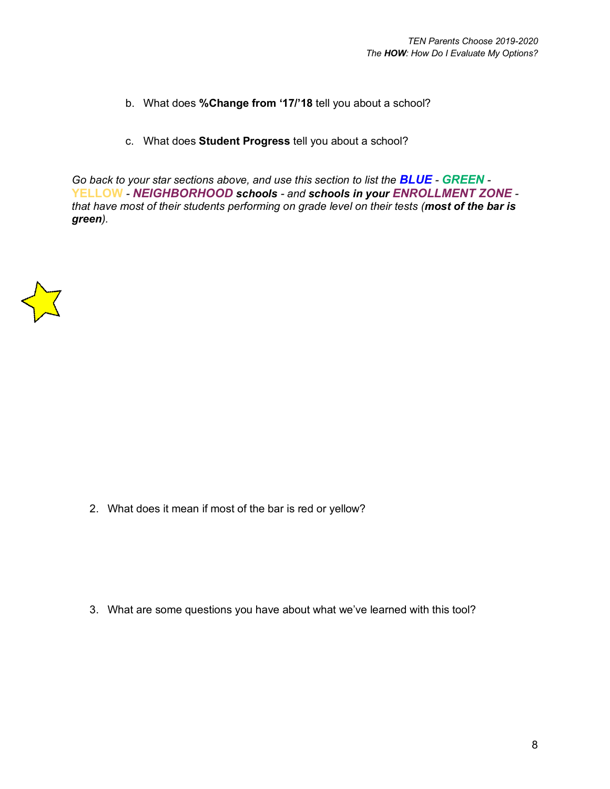- b. What does **%Change from '17/'18** tell you about a school?
- c. What does **Student Progress** tell you about a school?

*Go back to your star sections above, and use this section to list the BLUE - GREEN -* **YELLOW** *- NEIGHBORHOOD schools - and schools in your ENROLLMENT ZONE that have most of their students performing on grade level on their tests (most of the bar is green).*



2. What does it mean if most of the bar is red or yellow?

3. What are some questions you have about what we've learned with this tool?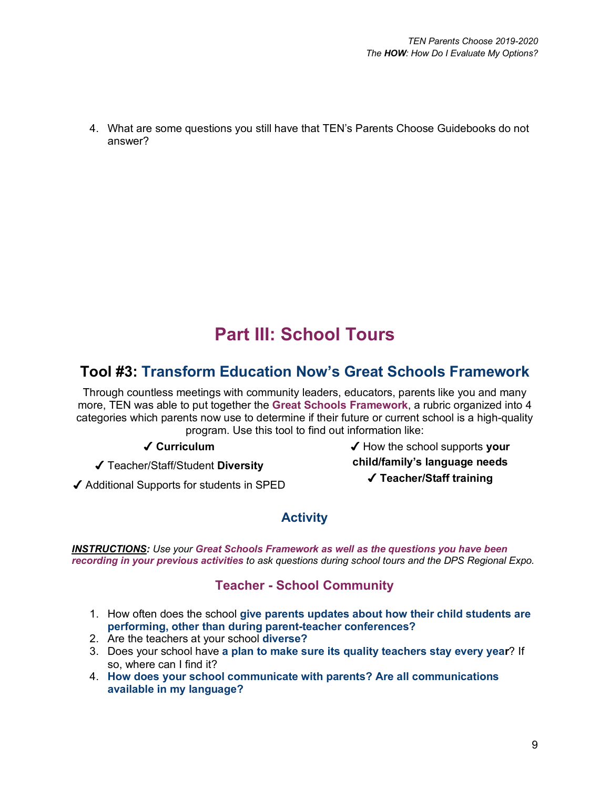4. What are some questions you still have that TEN's Parents Choose Guidebooks do not answer?

# **Part III: School Tours**

## **Tool #3: Transform Education Now's Great Schools Framework**

Through countless meetings with community leaders, educators, parents like you and many more, TEN was able to put together the **Great Schools Framework**, a rubric organized into 4 categories which parents now use to determine if their future or current school is a high-quality program. Use this tool to find out information like:

✔ **Curriculum** 

✔ Teacher/Staff/Student **Diversity**

✔ How the school supports **your child/family's language needs** ✔ **Teacher/Staff training**

✔ Additional Supports for students in SPED

## **Activity**

*INSTRUCTIONS: Use your Great Schools Framework as well as the questions you have been recording in your previous activities to ask questions during school tours and the DPS Regional Expo.*

### **Teacher - School Community**

- 1. How often does the school **give parents updates about how their child students are performing, other than during parent-teacher conferences?**
- 2. Are the teachers at your school **diverse?**
- 3. Does your school have **a plan to make sure its quality teachers stay every year**? If so, where can I find it?
- 4. **How does your school communicate with parents? Are all communications available in my language?**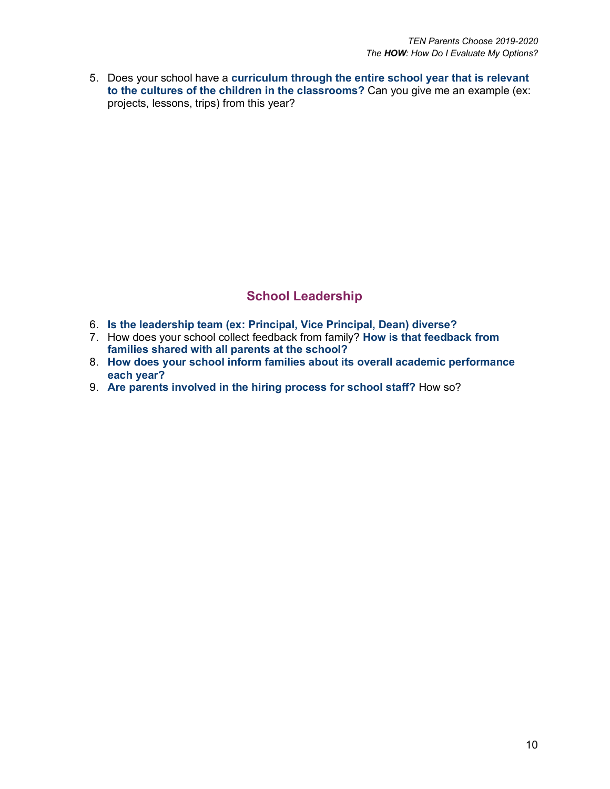5. Does your school have a **curriculum through the entire school year that is relevant to the cultures of the children in the classrooms?** Can you give me an example (ex: projects, lessons, trips) from this year?

### **School Leadership**

- 6. **Is the leadership team (ex: Principal, Vice Principal, Dean) diverse?**
- 7. How does your school collect feedback from family? **How is that feedback from families shared with all parents at the school?**
- 8. **How does your school inform families about its overall academic performance each year?**
- 9. **Are parents involved in the hiring process for school staff?** How so?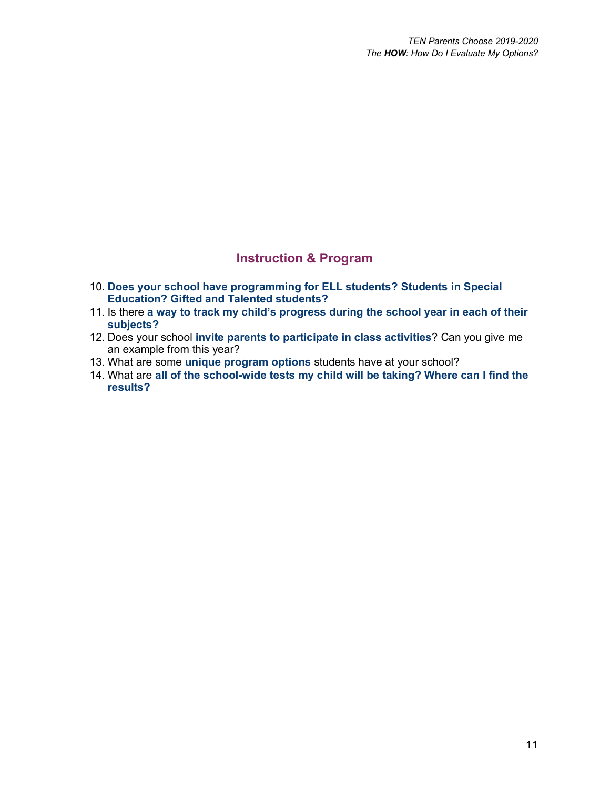### **Instruction & Program**

- 10. **Does your school have programming for ELL students? Students in Special Education? Gifted and Talented students?**
- 11. Is there **a way to track my child's progress during the school year in each of their subjects?**
- 12. Does your school **invite parents to participate in class activities**? Can you give me an example from this year?
- 13. What are some **unique program options** students have at your school?
- 14. What are **all of the school-wide tests my child will be taking? Where can I find the results?**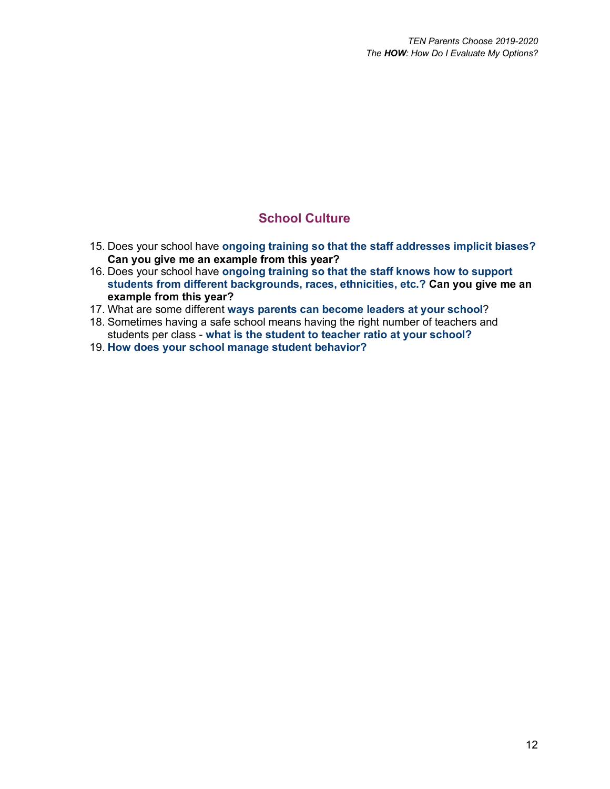### **School Culture**

- 15. Does your school have **ongoing training so that the staff addresses implicit biases? Can you give me an example from this year?**
- 16. Does your school have **ongoing training so that the staff knows how to support students from different backgrounds, races, ethnicities, etc.? Can you give me an example from this year?**
- 17. What are some different **ways parents can become leaders at your school**?
- 18. Sometimes having a safe school means having the right number of teachers and students per class - **what is the student to teacher ratio at your school?**
- 19. **How does your school manage student behavior?**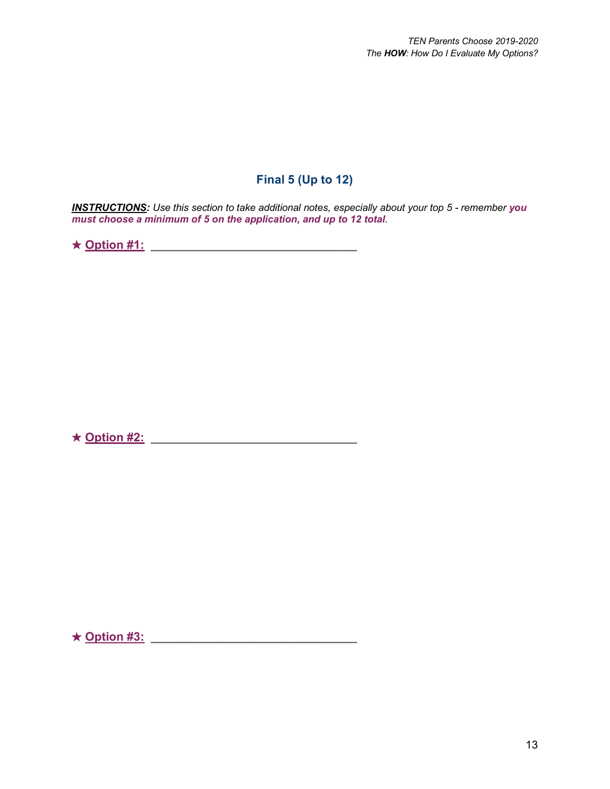### **Final 5 (Up to 12)**

*INSTRUCTIONS: Use this section to take additional notes, especially about your top 5 - remember you must choose a minimum of 5 on the application, and up to 12 total.*

★ **Option #1: \_\_\_\_\_\_\_\_\_\_\_\_\_\_\_\_\_\_\_\_\_\_\_\_\_\_\_\_\_\_\_**

★ **Option #2: \_\_\_\_\_\_\_\_\_\_\_\_\_\_\_\_\_\_\_\_\_\_\_\_\_\_\_\_\_\_\_**

★ **Option #3: \_\_\_\_\_\_\_\_\_\_\_\_\_\_\_\_\_\_\_\_\_\_\_\_\_\_\_\_\_\_\_**